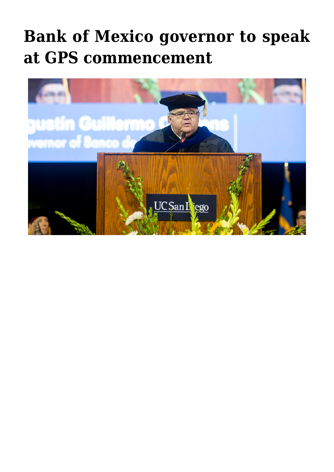## **[Bank of Mexico governor to speak](https://gpsnews.ucsd.edu/bank-of-mexico-governor-to-speak-at-gps-commencement/) [at GPS commencement](https://gpsnews.ucsd.edu/bank-of-mexico-governor-to-speak-at-gps-commencement/)**

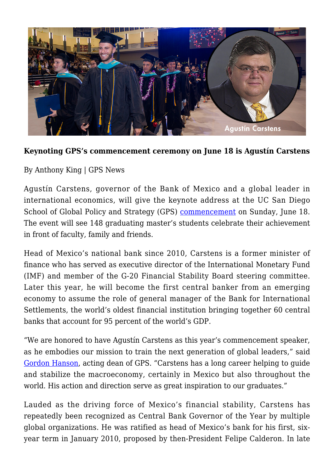

## **Keynoting GPS's commencement ceremony on June 18 is Agustín Carstens**

By Anthony King | GPS News

Agustín Carstens, governor of the Bank of Mexico and a global leader in international economics, will give the keynote address at the UC San Diego School of Global Policy and Strategy (GPS) [commencement](https://gps.ucsd.edu/students/commencement.html) on Sunday, June 18. The event will see 148 graduating master's students celebrate their achievement in front of faculty, family and friends.

Head of Mexico's national bank since 2010, Carstens is a former minister of finance who has served as executive director of the International Monetary Fund (IMF) and member of the G-20 Financial Stability Board steering committee. Later this year, he will become the first central banker from an emerging economy to assume the role of general manager of the Bank for International Settlements, the world's oldest financial institution bringing together 60 central banks that account for 95 percent of the world's GDP.

"We are honored to have Agustín Carstens as this year's commencement speaker, as he embodies our mission to train the next generation of global leaders," said [Gordon Hanson,](https://gps.ucsd.edu/faculty-directory/gordon-hanson.html) acting dean of GPS. "Carstens has a long career helping to guide and stabilize the macroeconomy, certainly in Mexico but also throughout the world. His action and direction serve as great inspiration to our graduates."

Lauded as the driving force of Mexico's financial stability, Carstens has repeatedly been recognized as Central Bank Governor of the Year by multiple global organizations. He was ratified as head of Mexico's bank for his first, sixyear term in January 2010, proposed by then-President Felipe Calderon. In late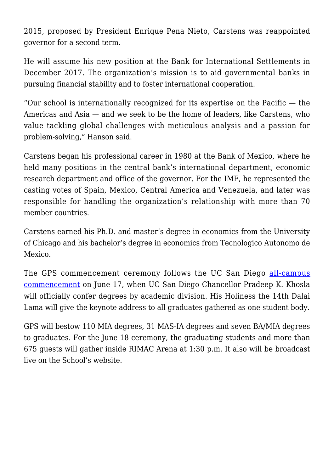2015, proposed by President Enrique Pena Nieto, Carstens was reappointed governor for a second term.

He will assume his new position at the Bank for International Settlements in December 2017. The organization's mission is to aid governmental banks in pursuing financial stability and to foster international cooperation.

"Our school is internationally recognized for its expertise on the Pacific  $-$  the Americas and Asia — and we seek to be the home of leaders, like Carstens, who value tackling global challenges with meticulous analysis and a passion for problem-solving," Hanson said.

Carstens began his professional career in 1980 at the Bank of Mexico, where he held many positions in the central bank's international department, economic research department and office of the governor. For the IMF, he represented the casting votes of Spain, Mexico, Central America and Venezuela, and later was responsible for handling the organization's relationship with more than 70 member countries.

Carstens earned his Ph.D. and master's degree in economics from the University of Chicago and his bachelor's degree in economics from Tecnologico Autonomo de Mexico.

The GPS commencement ceremony follows the UC San Diego [all-campus](http://commencement.ucsd.edu/) [commencement](http://commencement.ucsd.edu/) on June 17, when UC San Diego Chancellor Pradeep K. Khosla will officially confer degrees by academic division. His Holiness the 14th Dalai Lama will give the keynote address to all graduates gathered as one student body.

GPS will bestow 110 MIA degrees, 31 MAS-IA degrees and seven BA/MIA degrees to graduates. For the June 18 ceremony, the graduating students and more than 675 guests will gather inside RIMAC Arena at 1:30 p.m. It also will be broadcast live on the School's website.